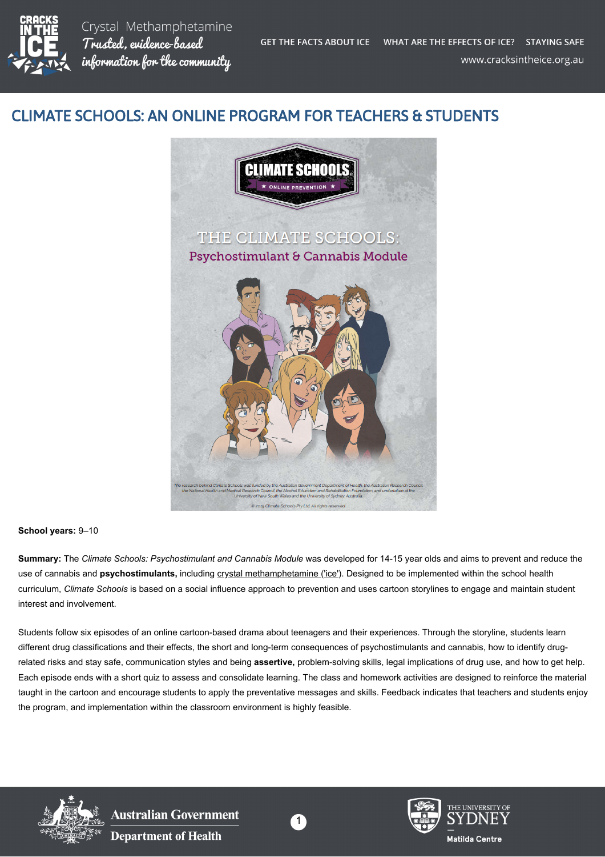

Crystal Methamphetamine Trusted, evidence-based information for the community

## CLIMATE SCHOOLS: AN ONLINE PROGRAM FOR TEACHERS & STUDENTS



## **School years:** 9–10

**Summary:** The *Climate Schools: Psychostimulant and Cannabis Module* was developed for 14-15 year olds and aims to prevent and reduce the use of cannabis and **psychostimulants**, including [crystal methamphetamine \('ice'\).](https://cracksintheice.org.au/what-is-ice) Designed to be implemented within the school health curriculum, *Climate Schools* is based on a social influence approach to prevention and uses cartoon storylines to engage and maintain student interest and involvement.

Students follow six episodes of an online cartoon-based drama about teenagers and their experiences. Through the storyline, students learn different drug classifications and their effects, the short and long-term consequences of psychostimulants and cannabis, how to identify drugrelated risks and stay safe, communication styles and being **assertive,** problem-solving skills, legal implications of drug use, and how to get help. Each episode ends with a short quiz to assess and consolidate learning. The class and homework activities are designed to reinforce the material taught in the cartoon and encourage students to apply the preventative messages and skills. Feedback indicates that teachers and students enjoy the program, and implementation within the classroom environment is highly feasible.



**Australian Government Department of Health** 





Matilda Centre